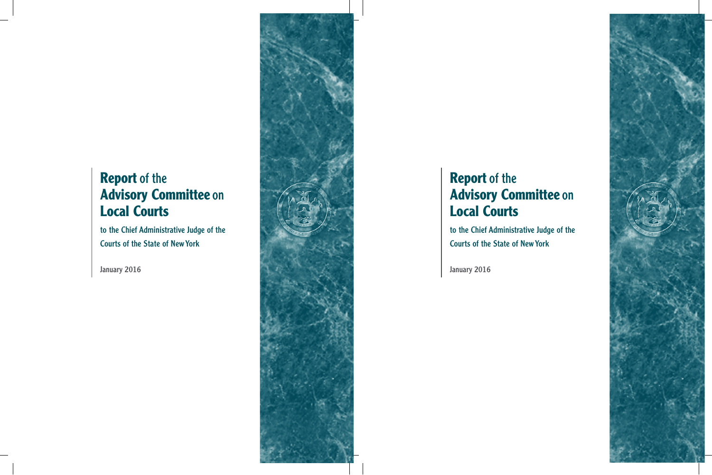# **Report** of the **Advisory Committee** on **Local Courts**

to the Chief Administrative Judge of the Courts of the State of NewYork

January 2016

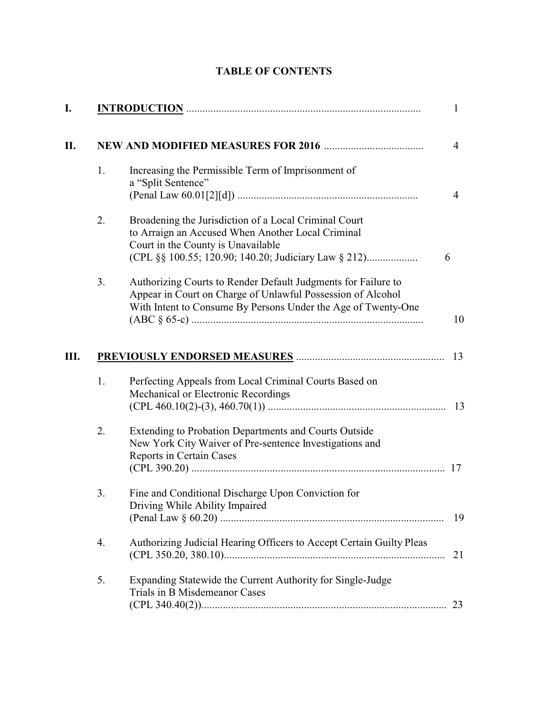| I. |    |                                                                                                                                                                                               | $\mathbf{1}$   |
|----|----|-----------------------------------------------------------------------------------------------------------------------------------------------------------------------------------------------|----------------|
| П. |    |                                                                                                                                                                                               | $\overline{4}$ |
|    | 1. | Increasing the Permissible Term of Imprisonment of<br>a "Split Sentence"                                                                                                                      | $\overline{4}$ |
|    | 2. | Broadening the Jurisdiction of a Local Criminal Court<br>to Arraign an Accused When Another Local Criminal<br>Court in the County is Unavailable<br>6                                         |                |
|    | 3. | Authorizing Courts to Render Default Judgments for Failure to<br>Appear in Court on Charge of Unlawful Possession of Alcohol<br>With Intent to Consume By Persons Under the Age of Twenty-One | 10             |
| Ш. |    |                                                                                                                                                                                               | 13             |
|    | 1. | Perfecting Appeals from Local Criminal Courts Based on<br>Mechanical or Electronic Recordings                                                                                                 |                |
|    | 2. | Extending to Probation Departments and Courts Outside<br>New York City Waiver of Pre-sentence Investigations and<br>Reports in Certain Cases                                                  |                |
|    | 3. | Fine and Conditional Discharge Upon Conviction for<br>Driving While Ability Impaired                                                                                                          | 19             |
|    | 4. | Authorizing Judicial Hearing Officers to Accept Certain Guilty Pleas                                                                                                                          | 21             |
|    | 5. | Expanding Statewide the Current Authority for Single-Judge<br>Trials in B Misdemeanor Cases                                                                                                   | 23             |

## **TABLE OF CONTENTS**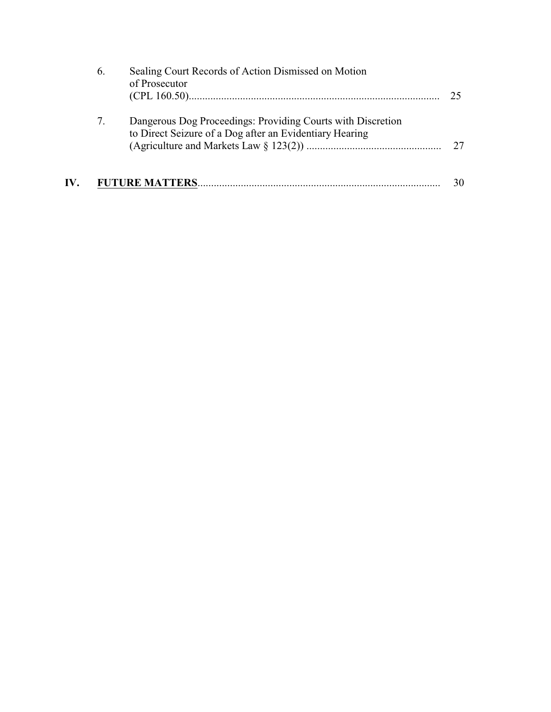|     | 6. | Sealing Court Records of Action Dismissed on Motion<br>of Prosecutor                                                   | 25. |
|-----|----|------------------------------------------------------------------------------------------------------------------------|-----|
|     | 7. | Dangerous Dog Proceedings: Providing Courts with Discretion<br>to Direct Seizure of a Dog after an Evidentiary Hearing | 27  |
| IV. |    |                                                                                                                        | 30  |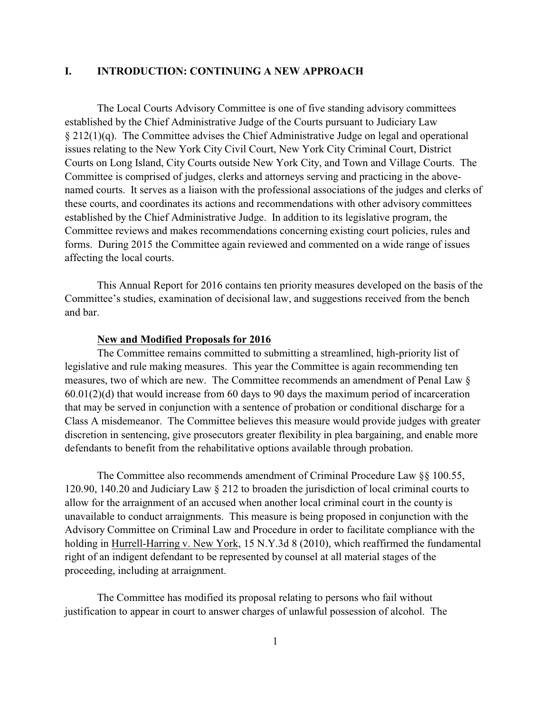## **I. INTRODUCTION: CONTINUING A NEW APPROACH**

The Local Courts Advisory Committee is one of five standing advisory committees established by the Chief Administrative Judge of the Courts pursuant to Judiciary Law § 212(1)(q). The Committee advises the Chief Administrative Judge on legal and operational issues relating to the New York City Civil Court, New York City Criminal Court, District Courts on Long Island, City Courts outside New York City, and Town and Village Courts. The Committee is comprised of judges, clerks and attorneys serving and practicing in the abovenamed courts. It serves as a liaison with the professional associations of the judges and clerks of these courts, and coordinates its actions and recommendations with other advisory committees established by the Chief Administrative Judge. In addition to its legislative program, the Committee reviews and makes recommendations concerning existing court policies, rules and forms. During 2015 the Committee again reviewed and commented on a wide range of issues affecting the local courts.

This Annual Report for 2016 contains ten priority measures developed on the basis of the Committee's studies, examination of decisional law, and suggestions received from the bench and bar.

#### **New and Modified Proposals for 2016**

The Committee remains committed to submitting a streamlined, high-priority list of legislative and rule making measures. This year the Committee is again recommending ten measures, two of which are new. The Committee recommends an amendment of Penal Law § 60.01(2)(d) that would increase from 60 days to 90 days the maximum period of incarceration that may be served in conjunction with a sentence of probation or conditional discharge for a Class A misdemeanor. The Committee believes this measure would provide judges with greater discretion in sentencing, give prosecutors greater flexibility in plea bargaining, and enable more defendants to benefit from the rehabilitative options available through probation.

The Committee also recommends amendment of Criminal Procedure Law §§ 100.55, 120.90, 140.20 and Judiciary Law § 212 to broaden the jurisdiction of local criminal courts to allow for the arraignment of an accused when another local criminal court in the county is unavailable to conduct arraignments. This measure is being proposed in conjunction with the Advisory Committee on Criminal Law and Procedure in order to facilitate compliance with the holding in Hurrell-Harring v. New York, 15 N.Y.3d 8 (2010), which reaffirmed the fundamental right of an indigent defendant to be represented by counsel at all material stages of the proceeding, including at arraignment.

The Committee has modified its proposal relating to persons who fail without justification to appear in court to answer charges of unlawful possession of alcohol. The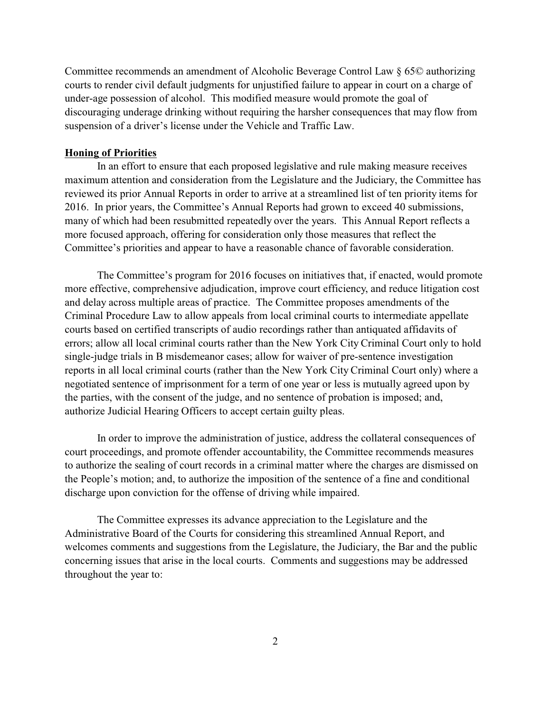Committee recommends an amendment of Alcoholic Beverage Control Law § 65© authorizing courts to render civil default judgments for unjustified failure to appear in court on a charge of under-age possession of alcohol. This modified measure would promote the goal of discouraging underage drinking without requiring the harsher consequences that may flow from suspension of a driver's license under the Vehicle and Traffic Law.

## **Honing of Priorities**

In an effort to ensure that each proposed legislative and rule making measure receives maximum attention and consideration from the Legislature and the Judiciary, the Committee has reviewed its prior Annual Reports in order to arrive at a streamlined list of ten priority items for 2016. In prior years, the Committee's Annual Reports had grown to exceed 40 submissions, many of which had been resubmitted repeatedly over the years. This Annual Report reflects a more focused approach, offering for consideration only those measures that reflect the Committee's priorities and appear to have a reasonable chance of favorable consideration.

The Committee's program for 2016 focuses on initiatives that, if enacted, would promote more effective, comprehensive adjudication, improve court efficiency, and reduce litigation cost and delay across multiple areas of practice. The Committee proposes amendments of the Criminal Procedure Law to allow appeals from local criminal courts to intermediate appellate courts based on certified transcripts of audio recordings rather than antiquated affidavits of errors; allow all local criminal courts rather than the New York City Criminal Court only to hold single-judge trials in B misdemeanor cases; allow for waiver of pre-sentence investigation reports in all local criminal courts (rather than the New York City Criminal Court only) where a negotiated sentence of imprisonment for a term of one year or less is mutually agreed upon by the parties, with the consent of the judge, and no sentence of probation is imposed; and, authorize Judicial Hearing Officers to accept certain guilty pleas.

In order to improve the administration of justice, address the collateral consequences of court proceedings, and promote offender accountability, the Committee recommends measures to authorize the sealing of court records in a criminal matter where the charges are dismissed on the People's motion; and, to authorize the imposition of the sentence of a fine and conditional discharge upon conviction for the offense of driving while impaired.

The Committee expresses its advance appreciation to the Legislature and the Administrative Board of the Courts for considering this streamlined Annual Report, and welcomes comments and suggestions from the Legislature, the Judiciary, the Bar and the public concerning issues that arise in the local courts. Comments and suggestions may be addressed throughout the year to: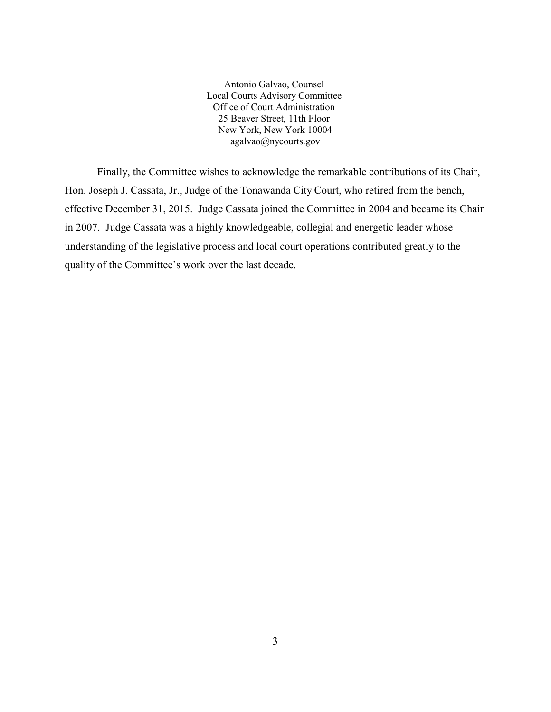Antonio Galvao, Counsel Local Courts Advisory Committee Office of Court Administration 25 Beaver Street, 11th Floor New York, New York 10004 agalvao@nycourts.gov

Finally, the Committee wishes to acknowledge the remarkable contributions of its Chair, Hon. Joseph J. Cassata, Jr., Judge of the Tonawanda City Court, who retired from the bench, effective December 31, 2015. Judge Cassata joined the Committee in 2004 and became its Chair in 2007. Judge Cassata was a highly knowledgeable, collegial and energetic leader whose understanding of the legislative process and local court operations contributed greatly to the quality of the Committee's work over the last decade.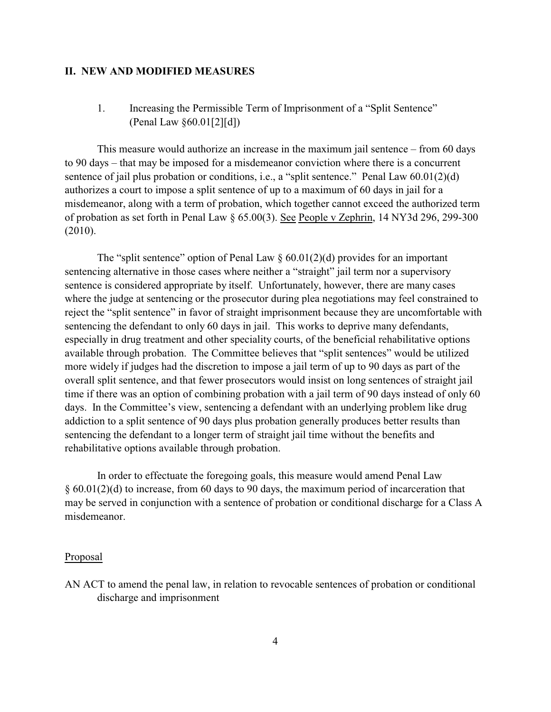## **II. NEW AND MODIFIED MEASURES**

1. Increasing the Permissible Term of Imprisonment of a "Split Sentence" (Penal Law §60.01[2][d])

This measure would authorize an increase in the maximum jail sentence – from 60 days to 90 days – that may be imposed for a misdemeanor conviction where there is a concurrent sentence of jail plus probation or conditions, i.e., a "split sentence." Penal Law  $60.01(2)(d)$ authorizes a court to impose a split sentence of up to a maximum of 60 days in jail for a misdemeanor, along with a term of probation, which together cannot exceed the authorized term of probation as set forth in Penal Law § 65.00(3). See People v Zephrin, 14 NY3d 296, 299-300 (2010).

The "split sentence" option of Penal Law  $\S$  60.01(2)(d) provides for an important sentencing alternative in those cases where neither a "straight" jail term nor a supervisory sentence is considered appropriate by itself. Unfortunately, however, there are many cases where the judge at sentencing or the prosecutor during plea negotiations may feel constrained to reject the "split sentence" in favor of straight imprisonment because they are uncomfortable with sentencing the defendant to only 60 days in jail. This works to deprive many defendants, especially in drug treatment and other speciality courts, of the beneficial rehabilitative options available through probation. The Committee believes that "split sentences" would be utilized more widely if judges had the discretion to impose a jail term of up to 90 days as part of the overall split sentence, and that fewer prosecutors would insist on long sentences of straight jail time if there was an option of combining probation with a jail term of 90 days instead of only 60 days. In the Committee's view, sentencing a defendant with an underlying problem like drug addiction to a split sentence of 90 days plus probation generally produces better results than sentencing the defendant to a longer term of straight jail time without the benefits and rehabilitative options available through probation.

In order to effectuate the foregoing goals, this measure would amend Penal Law § 60.01(2)(d) to increase, from 60 days to 90 days, the maximum period of incarceration that may be served in conjunction with a sentence of probation or conditional discharge for a Class A misdemeanor.

## Proposal

AN ACT to amend the penal law, in relation to revocable sentences of probation or conditional discharge and imprisonment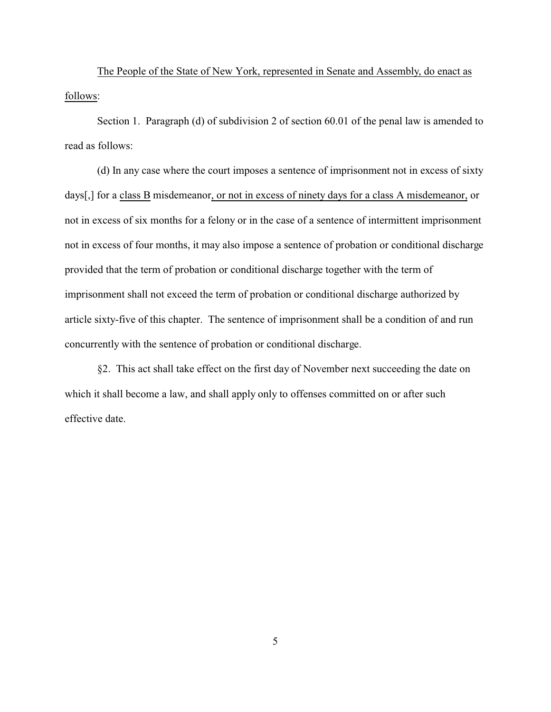The People of the State of New York, represented in Senate and Assembly, do enact as follows:

Section 1. Paragraph (d) of subdivision 2 of section 60.01 of the penal law is amended to read as follows:

(d) In any case where the court imposes a sentence of imprisonment not in excess of sixty days[,] for a class B misdemeanor, or not in excess of ninety days for a class A misdemeanor, or not in excess of six months for a felony or in the case of a sentence of intermittent imprisonment not in excess of four months, it may also impose a sentence of probation or conditional discharge provided that the term of probation or conditional discharge together with the term of imprisonment shall not exceed the term of probation or conditional discharge authorized by article sixty-five of this chapter. The sentence of imprisonment shall be a condition of and run concurrently with the sentence of probation or conditional discharge.

§2. This act shall take effect on the first day of November next succeeding the date on which it shall become a law, and shall apply only to offenses committed on or after such effective date.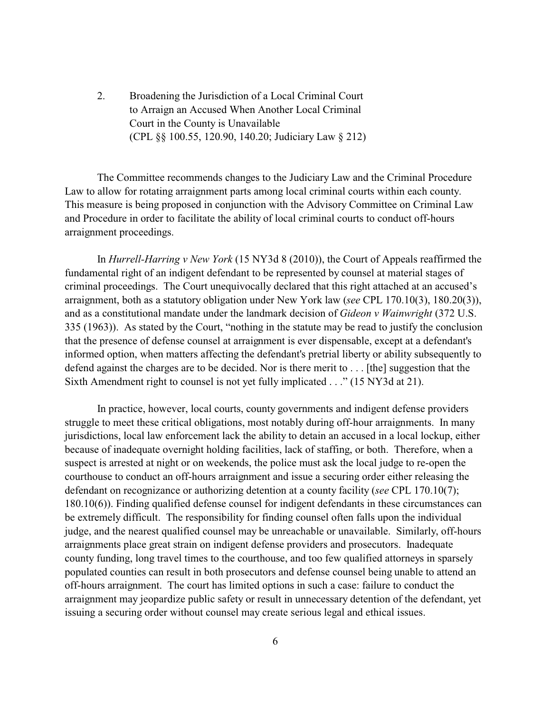2. Broadening the Jurisdiction of a Local Criminal Court to Arraign an Accused When Another Local Criminal Court in the County is Unavailable (CPL §§ 100.55, 120.90, 140.20; Judiciary Law § 212)

The Committee recommends changes to the Judiciary Law and the Criminal Procedure Law to allow for rotating arraignment parts among local criminal courts within each county. This measure is being proposed in conjunction with the Advisory Committee on Criminal Law and Procedure in order to facilitate the ability of local criminal courts to conduct off-hours arraignment proceedings.

In *Hurrell-Harring v New York* (15 NY3d 8 (2010)), the Court of Appeals reaffirmed the fundamental right of an indigent defendant to be represented by counsel at material stages of criminal proceedings. The Court unequivocally declared that this right attached at an accused's arraignment, both as a statutory obligation under New York law (*see* CPL 170.10(3), 180.20(3)), and as a constitutional mandate under the landmark decision of *Gideon v Wainwright* (372 U.S. 335 (1963)). As stated by the Court, "nothing in the statute may be read to justify the conclusion that the presence of defense counsel at arraignment is ever dispensable, except at a defendant's informed option, when matters affecting the defendant's pretrial liberty or ability subsequently to defend against the charges are to be decided. Nor is there merit to . . . [the] suggestion that the Sixth Amendment right to counsel is not yet fully implicated . . ." (15 NY3d at 21).

In practice, however, local courts, county governments and indigent defense providers struggle to meet these critical obligations, most notably during off-hour arraignments. In many jurisdictions, local law enforcement lack the ability to detain an accused in a local lockup, either because of inadequate overnight holding facilities, lack of staffing, or both. Therefore, when a suspect is arrested at night or on weekends, the police must ask the local judge to re-open the courthouse to conduct an off-hours arraignment and issue a securing order either releasing the defendant on recognizance or authorizing detention at a county facility (*see* CPL 170.10(7); 180.10(6)). Finding qualified defense counsel for indigent defendants in these circumstances can be extremely difficult. The responsibility for finding counsel often falls upon the individual judge, and the nearest qualified counsel may be unreachable or unavailable. Similarly, off-hours arraignments place great strain on indigent defense providers and prosecutors. Inadequate county funding, long travel times to the courthouse, and too few qualified attorneys in sparsely populated counties can result in both prosecutors and defense counsel being unable to attend an off-hours arraignment. The court has limited options in such a case: failure to conduct the arraignment may jeopardize public safety or result in unnecessary detention of the defendant, yet issuing a securing order without counsel may create serious legal and ethical issues.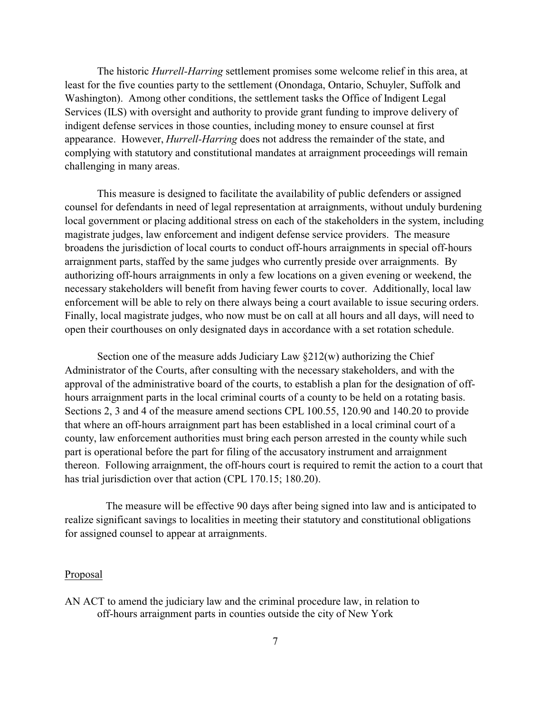The historic *Hurrell-Harring* settlement promises some welcome relief in this area, at least for the five counties party to the settlement (Onondaga, Ontario, Schuyler, Suffolk and Washington). Among other conditions, the settlement tasks the Office of Indigent Legal Services (ILS) with oversight and authority to provide grant funding to improve delivery of indigent defense services in those counties, including money to ensure counsel at first appearance. However, *Hurrell-Harring* does not address the remainder of the state, and complying with statutory and constitutional mandates at arraignment proceedings will remain challenging in many areas.

This measure is designed to facilitate the availability of public defenders or assigned counsel for defendants in need of legal representation at arraignments, without unduly burdening local government or placing additional stress on each of the stakeholders in the system, including magistrate judges, law enforcement and indigent defense service providers. The measure broadens the jurisdiction of local courts to conduct off-hours arraignments in special off-hours arraignment parts, staffed by the same judges who currently preside over arraignments. By authorizing off-hours arraignments in only a few locations on a given evening or weekend, the necessary stakeholders will benefit from having fewer courts to cover. Additionally, local law enforcement will be able to rely on there always being a court available to issue securing orders. Finally, local magistrate judges, who now must be on call at all hours and all days, will need to open their courthouses on only designated days in accordance with a set rotation schedule.

Section one of the measure adds Judiciary Law  $\S212(w)$  authorizing the Chief Administrator of the Courts, after consulting with the necessary stakeholders, and with the approval of the administrative board of the courts, to establish a plan for the designation of offhours arraignment parts in the local criminal courts of a county to be held on a rotating basis. Sections 2, 3 and 4 of the measure amend sections CPL 100.55, 120.90 and 140.20 to provide that where an off-hours arraignment part has been established in a local criminal court of a county, law enforcement authorities must bring each person arrested in the county while such part is operational before the part for filing of the accusatory instrument and arraignment thereon. Following arraignment, the off-hours court is required to remit the action to a court that has trial jurisdiction over that action (CPL 170.15; 180.20).

The measure will be effective 90 days after being signed into law and is anticipated to realize significant savings to localities in meeting their statutory and constitutional obligations for assigned counsel to appear at arraignments.

## Proposal

AN ACT to amend the judiciary law and the criminal procedure law, in relation to off-hours arraignment parts in counties outside the city of New York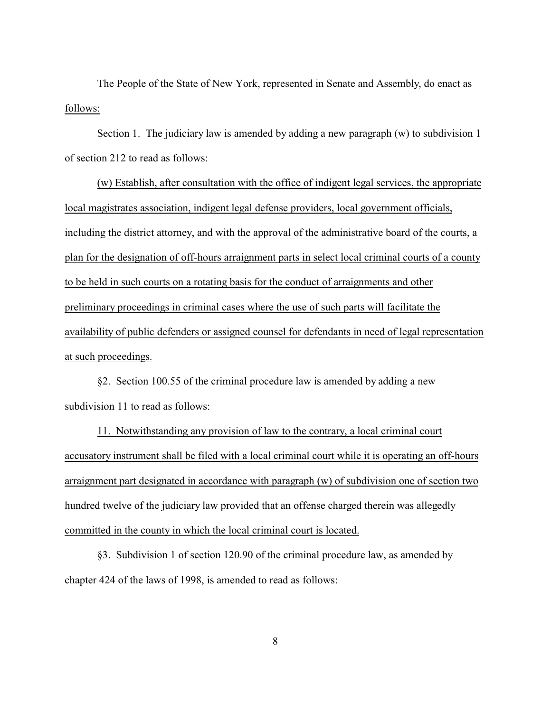The People of the State of New York, represented in Senate and Assembly, do enact as follows:

Section 1. The judiciary law is amended by adding a new paragraph (w) to subdivision 1 of section 212 to read as follows:

(w) Establish, after consultation with the office of indigent legal services, the appropriate local magistrates association, indigent legal defense providers, local government officials, including the district attorney, and with the approval of the administrative board of the courts, a plan for the designation of off-hours arraignment parts in select local criminal courts of a county to be held in such courts on a rotating basis for the conduct of arraignments and other preliminary proceedings in criminal cases where the use of such parts will facilitate the availability of public defenders or assigned counsel for defendants in need of legal representation at such proceedings.

§2. Section 100.55 of the criminal procedure law is amended by adding a new subdivision 11 to read as follows:

11. Notwithstanding any provision of law to the contrary, a local criminal court accusatory instrument shall be filed with a local criminal court while it is operating an off-hours arraignment part designated in accordance with paragraph (w) of subdivision one of section two hundred twelve of the judiciary law provided that an offense charged therein was allegedly committed in the county in which the local criminal court is located.

§3. Subdivision 1 of section 120.90 of the criminal procedure law, as amended by chapter 424 of the laws of 1998, is amended to read as follows: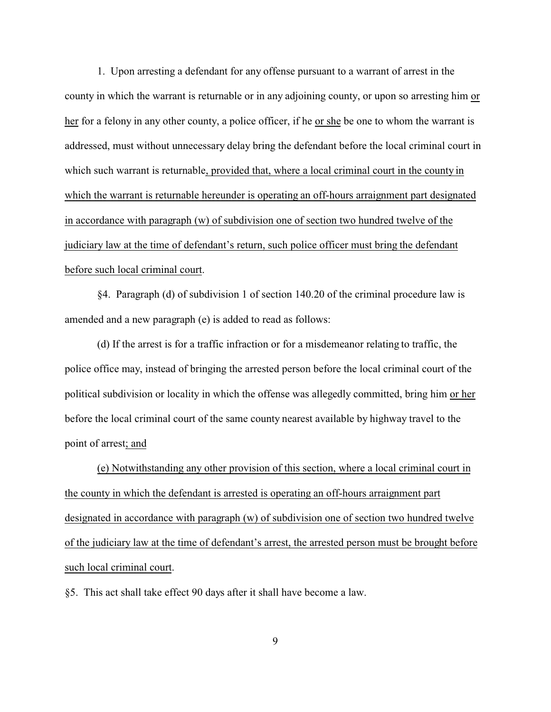1. Upon arresting a defendant for any offense pursuant to a warrant of arrest in the county in which the warrant is returnable or in any adjoining county, or upon so arresting him or her for a felony in any other county, a police officer, if he or she be one to whom the warrant is addressed, must without unnecessary delay bring the defendant before the local criminal court in which such warrant is returnable, provided that, where a local criminal court in the county in which the warrant is returnable hereunder is operating an off-hours arraignment part designated in accordance with paragraph (w) of subdivision one of section two hundred twelve of the judiciary law at the time of defendant's return, such police officer must bring the defendant before such local criminal court.

§4. Paragraph (d) of subdivision 1 of section 140.20 of the criminal procedure law is amended and a new paragraph (e) is added to read as follows:

(d) If the arrest is for a traffic infraction or for a misdemeanor relating to traffic, the police office may, instead of bringing the arrested person before the local criminal court of the political subdivision or locality in which the offense was allegedly committed, bring him or her before the local criminal court of the same county nearest available by highway travel to the point of arrest; and

(e) Notwithstanding any other provision of this section, where a local criminal court in the county in which the defendant is arrested is operating an off-hours arraignment part designated in accordance with paragraph (w) of subdivision one of section two hundred twelve of the judiciary law at the time of defendant's arrest, the arrested person must be brought before such local criminal court.

§5. This act shall take effect 90 days after it shall have become a law.

9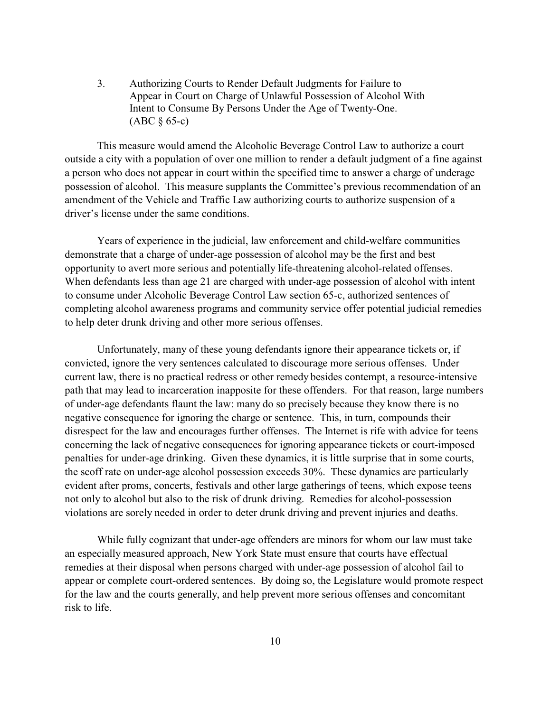3. Authorizing Courts to Render Default Judgments for Failure to Appear in Court on Charge of Unlawful Possession of Alcohol With Intent to Consume By Persons Under the Age of Twenty-One. (ABC § 65-c)

This measure would amend the Alcoholic Beverage Control Law to authorize a court outside a city with a population of over one million to render a default judgment of a fine against a person who does not appear in court within the specified time to answer a charge of underage possession of alcohol. This measure supplants the Committee's previous recommendation of an amendment of the Vehicle and Traffic Law authorizing courts to authorize suspension of a driver's license under the same conditions.

Years of experience in the judicial, law enforcement and child-welfare communities demonstrate that a charge of under-age possession of alcohol may be the first and best opportunity to avert more serious and potentially life-threatening alcohol-related offenses. When defendants less than age 21 are charged with under-age possession of alcohol with intent to consume under Alcoholic Beverage Control Law section 65-c, authorized sentences of completing alcohol awareness programs and community service offer potential judicial remedies to help deter drunk driving and other more serious offenses.

Unfortunately, many of these young defendants ignore their appearance tickets or, if convicted, ignore the very sentences calculated to discourage more serious offenses. Under current law, there is no practical redress or other remedy besides contempt, a resource-intensive path that may lead to incarceration inapposite for these offenders. For that reason, large numbers of under-age defendants flaunt the law: many do so precisely because they know there is no negative consequence for ignoring the charge or sentence. This, in turn, compounds their disrespect for the law and encourages further offenses. The Internet is rife with advice for teens concerning the lack of negative consequences for ignoring appearance tickets or court-imposed penalties for under-age drinking. Given these dynamics, it is little surprise that in some courts, the scoff rate on under-age alcohol possession exceeds 30%. These dynamics are particularly evident after proms, concerts, festivals and other large gatherings of teens, which expose teens not only to alcohol but also to the risk of drunk driving. Remedies for alcohol-possession violations are sorely needed in order to deter drunk driving and prevent injuries and deaths.

While fully cognizant that under-age offenders are minors for whom our law must take an especially measured approach, New York State must ensure that courts have effectual remedies at their disposal when persons charged with under-age possession of alcohol fail to appear or complete court-ordered sentences. By doing so, the Legislature would promote respect for the law and the courts generally, and help prevent more serious offenses and concomitant risk to life.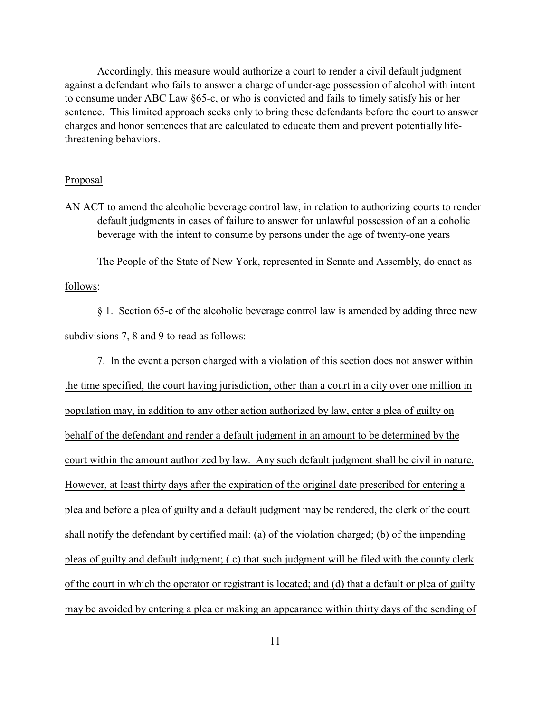Accordingly, this measure would authorize a court to render a civil default judgment against a defendant who fails to answer a charge of under-age possession of alcohol with intent to consume under ABC Law §65-c, or who is convicted and fails to timely satisfy his or her sentence. This limited approach seeks only to bring these defendants before the court to answer charges and honor sentences that are calculated to educate them and prevent potentially lifethreatening behaviors.

#### Proposal

AN ACT to amend the alcoholic beverage control law, in relation to authorizing courts to render default judgments in cases of failure to answer for unlawful possession of an alcoholic beverage with the intent to consume by persons under the age of twenty-one years

The People of the State of New York, represented in Senate and Assembly, do enact as

## follows:

§ 1. Section 65-c of the alcoholic beverage control law is amended by adding three new subdivisions 7, 8 and 9 to read as follows:

7. In the event a person charged with a violation of this section does not answer within the time specified, the court having jurisdiction, other than a court in a city over one million in population may, in addition to any other action authorized by law, enter a plea of guilty on behalf of the defendant and render a default judgment in an amount to be determined by the court within the amount authorized by law. Any such default judgment shall be civil in nature. However, at least thirty days after the expiration of the original date prescribed for entering a plea and before a plea of guilty and a default judgment may be rendered, the clerk of the court shall notify the defendant by certified mail: (a) of the violation charged; (b) of the impending pleas of guilty and default judgment; ( c) that such judgment will be filed with the county clerk of the court in which the operator or registrant is located; and (d) that a default or plea of guilty may be avoided by entering a plea or making an appearance within thirty days of the sending of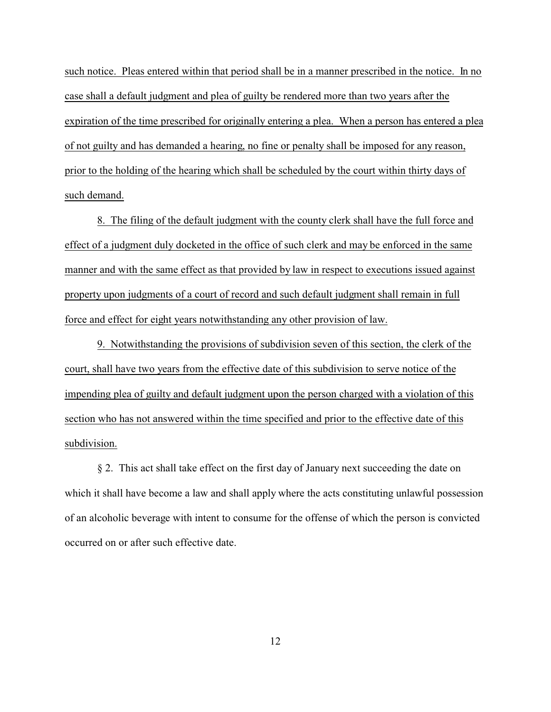such notice. Pleas entered within that period shall be in a manner prescribed in the notice. In no case shall a default judgment and plea of guilty be rendered more than two years after the expiration of the time prescribed for originally entering a plea. When a person has entered a plea of not guilty and has demanded a hearing, no fine or penalty shall be imposed for any reason, prior to the holding of the hearing which shall be scheduled by the court within thirty days of such demand.

8. The filing of the default judgment with the county clerk shall have the full force and effect of a judgment duly docketed in the office of such clerk and may be enforced in the same manner and with the same effect as that provided by law in respect to executions issued against property upon judgments of a court of record and such default judgment shall remain in full force and effect for eight years notwithstanding any other provision of law.

9. Notwithstanding the provisions of subdivision seven of this section, the clerk of the court, shall have two years from the effective date of this subdivision to serve notice of the impending plea of guilty and default judgment upon the person charged with a violation of this section who has not answered within the time specified and prior to the effective date of this subdivision.

§ 2. This act shall take effect on the first day of January next succeeding the date on which it shall have become a law and shall apply where the acts constituting unlawful possession of an alcoholic beverage with intent to consume for the offense of which the person is convicted occurred on or after such effective date.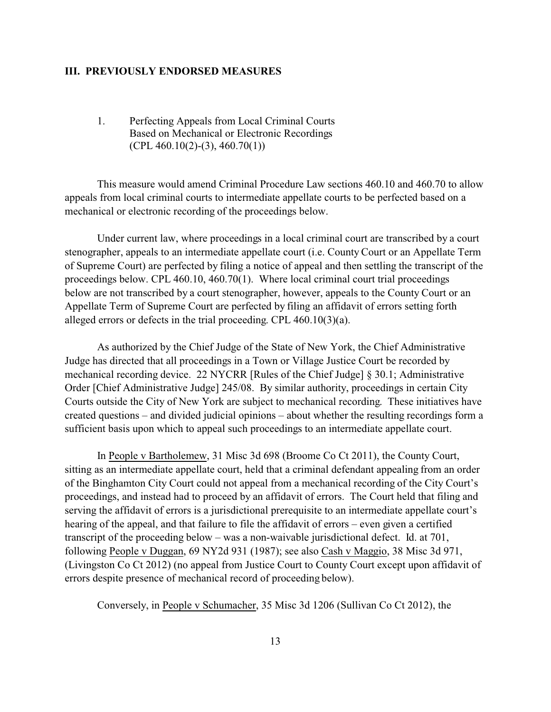## **III. PREVIOUSLY ENDORSED MEASURES**

1. Perfecting Appeals from Local Criminal Courts Based on Mechanical or Electronic Recordings  $(CPL 460.10(2)-(3), 460.70(1))$ 

This measure would amend Criminal Procedure Law sections 460.10 and 460.70 to allow appeals from local criminal courts to intermediate appellate courts to be perfected based on a mechanical or electronic recording of the proceedings below.

Under current law, where proceedings in a local criminal court are transcribed by a court stenographer, appeals to an intermediate appellate court (i.e. County Court or an Appellate Term of Supreme Court) are perfected by filing a notice of appeal and then settling the transcript of the proceedings below. CPL 460.10, 460.70(1). Where local criminal court trial proceedings below are not transcribed by a court stenographer, however, appeals to the County Court or an Appellate Term of Supreme Court are perfected by filing an affidavit of errors setting forth alleged errors or defects in the trial proceeding. CPL 460.10(3)(a).

As authorized by the Chief Judge of the State of New York, the Chief Administrative Judge has directed that all proceedings in a Town or Village Justice Court be recorded by mechanical recording device. 22 NYCRR [Rules of the Chief Judge] § 30.1; Administrative Order [Chief Administrative Judge] 245/08. By similar authority, proceedings in certain City Courts outside the City of New York are subject to mechanical recording. These initiatives have created questions – and divided judicial opinions – about whether the resulting recordings form a sufficient basis upon which to appeal such proceedings to an intermediate appellate court.

In People v Bartholemew, 31 Misc 3d 698 (Broome Co Ct 2011), the County Court, sitting as an intermediate appellate court, held that a criminal defendant appealing from an order of the Binghamton City Court could not appeal from a mechanical recording of the City Court's proceedings, and instead had to proceed by an affidavit of errors. The Court held that filing and serving the affidavit of errors is a jurisdictional prerequisite to an intermediate appellate court's hearing of the appeal, and that failure to file the affidavit of errors – even given a certified transcript of the proceeding below – was a non-waivable jurisdictional defect. Id. at 701, following People v Duggan, 69 NY2d 931 (1987); see also Cash v Maggio, 38 Misc 3d 971, (Livingston Co Ct 2012) (no appeal from Justice Court to County Court except upon affidavit of errors despite presence of mechanical record of proceeding below).

Conversely, in People v Schumacher, 35 Misc 3d 1206 (Sullivan Co Ct 2012), the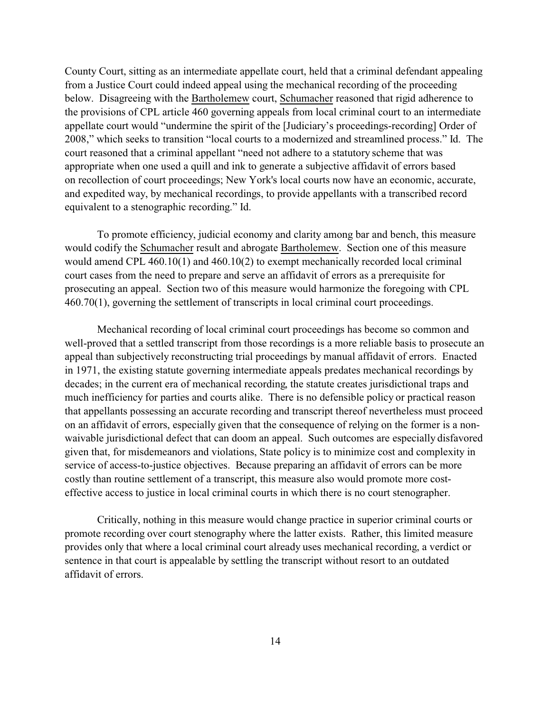County Court, sitting as an intermediate appellate court, held that a criminal defendant appealing from a Justice Court could indeed appeal using the mechanical recording of the proceeding below. Disagreeing with the Bartholemew court, Schumacher reasoned that rigid adherence to the provisions of CPL article 460 governing appeals from local criminal court to an intermediate appellate court would "undermine the spirit of the [Judiciary's proceedings-recording] Order of 2008," which seeks to transition "local courts to a modernized and streamlined process." Id. The court reasoned that a criminal appellant "need not adhere to a statutory scheme that was appropriate when one used a quill and ink to generate a subjective affidavit of errors based on recollection of court proceedings; New York's local courts now have an economic, accurate, and expedited way, by mechanical recordings, to provide appellants with a transcribed record equivalent to a stenographic recording." Id.

To promote efficiency, judicial economy and clarity among bar and bench, this measure would codify the Schumacher result and abrogate Bartholemew. Section one of this measure would amend CPL 460.10(1) and 460.10(2) to exempt mechanically recorded local criminal court cases from the need to prepare and serve an affidavit of errors as a prerequisite for prosecuting an appeal. Section two of this measure would harmonize the foregoing with CPL 460.70(1), governing the settlement of transcripts in local criminal court proceedings.

Mechanical recording of local criminal court proceedings has become so common and well-proved that a settled transcript from those recordings is a more reliable basis to prosecute an appeal than subjectively reconstructing trial proceedings by manual affidavit of errors. Enacted in 1971, the existing statute governing intermediate appeals predates mechanical recordings by decades; in the current era of mechanical recording, the statute creates jurisdictional traps and much inefficiency for parties and courts alike. There is no defensible policy or practical reason that appellants possessing an accurate recording and transcript thereof nevertheless must proceed on an affidavit of errors, especially given that the consequence of relying on the former is a nonwaivable jurisdictional defect that can doom an appeal. Such outcomes are especially disfavored given that, for misdemeanors and violations, State policy is to minimize cost and complexity in service of access-to-justice objectives. Because preparing an affidavit of errors can be more costly than routine settlement of a transcript, this measure also would promote more costeffective access to justice in local criminal courts in which there is no court stenographer.

Critically, nothing in this measure would change practice in superior criminal courts or promote recording over court stenography where the latter exists. Rather, this limited measure provides only that where a local criminal court already uses mechanical recording, a verdict or sentence in that court is appealable by settling the transcript without resort to an outdated affidavit of errors.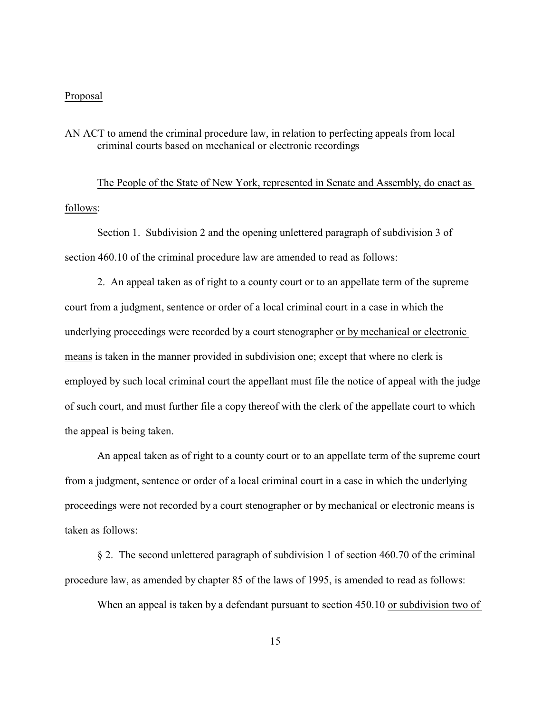## Proposal

## AN ACT to amend the criminal procedure law, in relation to perfecting appeals from local criminal courts based on mechanical or electronic recordings

The People of the State of New York, represented in Senate and Assembly, do enact as follows:

Section 1. Subdivision 2 and the opening unlettered paragraph of subdivision 3 of section 460.10 of the criminal procedure law are amended to read as follows:

2. An appeal taken as of right to a county court or to an appellate term of the supreme court from a judgment, sentence or order of a local criminal court in a case in which the underlying proceedings were recorded by a court stenographer or by mechanical or electronic means is taken in the manner provided in subdivision one; except that where no clerk is employed by such local criminal court the appellant must file the notice of appeal with the judge of such court, and must further file a copy thereof with the clerk of the appellate court to which the appeal is being taken.

An appeal taken as of right to a county court or to an appellate term of the supreme court from a judgment, sentence or order of a local criminal court in a case in which the underlying proceedings were not recorded by a court stenographer or by mechanical or electronic means is taken as follows:

§ 2. The second unlettered paragraph of subdivision 1 of section 460.70 of the criminal procedure law, as amended by chapter 85 of the laws of 1995, is amended to read as follows:

When an appeal is taken by a defendant pursuant to section 450.10 or subdivision two of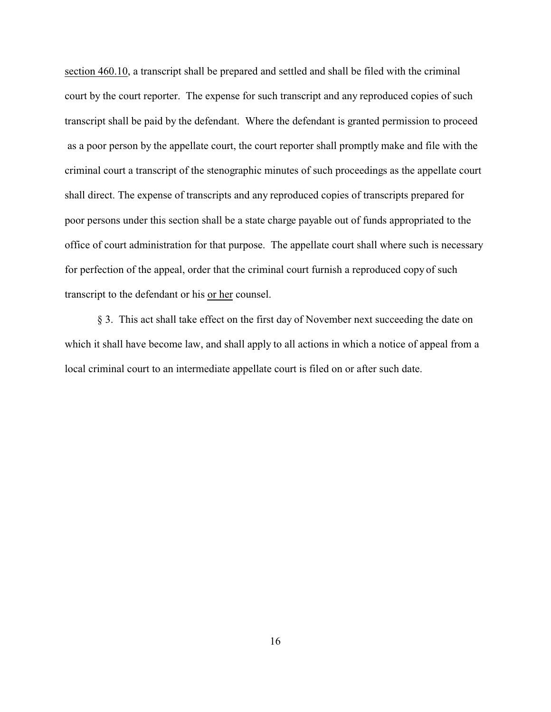section 460.10, a transcript shall be prepared and settled and shall be filed with the criminal court by the court reporter. The expense for such transcript and any reproduced copies of such transcript shall be paid by the defendant. Where the defendant is granted permission to proceed as a poor person by the appellate court, the court reporter shall promptly make and file with the criminal court a transcript of the stenographic minutes of such proceedings as the appellate court shall direct. The expense of transcripts and any reproduced copies of transcripts prepared for poor persons under this section shall be a state charge payable out of funds appropriated to the office of court administration for that purpose. The appellate court shall where such is necessary for perfection of the appeal, order that the criminal court furnish a reproduced copy of such transcript to the defendant or his or her counsel.

§ 3. This act shall take effect on the first day of November next succeeding the date on which it shall have become law, and shall apply to all actions in which a notice of appeal from a local criminal court to an intermediate appellate court is filed on or after such date.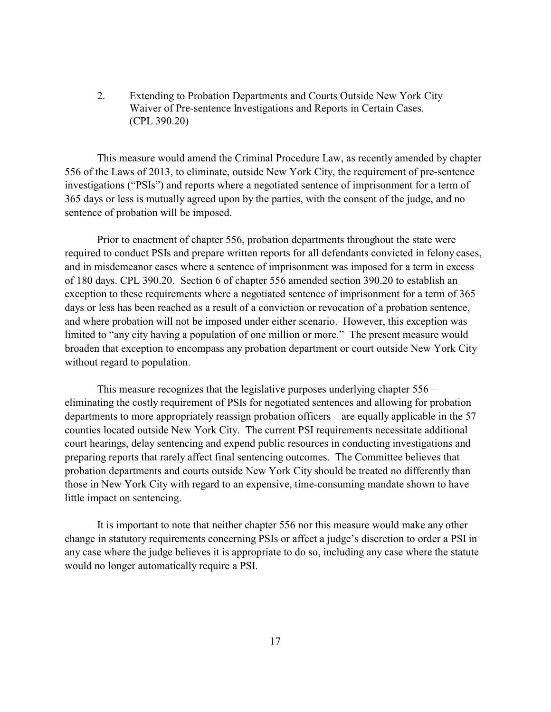2. Extending to Probation Departments and Courts Outside New York City Waiver of Pre-sentence Investigations and Reports in Certain Cases. (CPL 390.20)

This measure would amend the Criminal Procedure Law, as recently amended by chapter 556 of the Laws of 2013, to eliminate, outside New York City, the requirement of pre-sentence investigations ("PSIs") and reports where a negotiated sentence of imprisonment for a term of 365 days or less is mutually agreed upon by the parties, with the consent of the judge, and no sentence of probation will be imposed.

Prior to enactment of chapter 556, probation departments throughout the state were required to conduct PSIs and prepare written reports for all defendants convicted in felony cases, and in misdemeanor cases where a sentence of imprisonment was imposed for a term in excess of 180 days. CPL 390.20. Section 6 of chapter 556 amended section 390.20 to establish an exception to these requirements where a negotiated sentence of imprisonment for a term of 365 days or less has been reached as a result of a conviction or revocation of a probation sentence, and where probation will not be imposed under either scenario. However, this exception was limited to "any city having a population of one million or more." The present measure would broaden that exception to encompass any probation department or court outside New York City without regard to population.

This measure recognizes that the legislative purposes underlying chapter 556 – eliminating the costly requirement of PSIs for negotiated sentences and allowing for probation departments to more appropriately reassign probation officers – are equally applicable in the 57 counties located outside New York City. The current PSI requirements necessitate additional court hearings, delay sentencing and expend public resources in conducting investigations and preparing reports that rarely affect final sentencing outcomes. The Committee believes that probation departments and courts outside New York City should be treated no differently than those in New York City with regard to an expensive, time-consuming mandate shown to have little impact on sentencing.

It is important to note that neither chapter 556 nor this measure would make any other change in statutory requirements concerning PSIs or affect a judge's discretion to order a PSI in any case where the judge believes it is appropriate to do so, including any case where the statute would no longer automatically require a PSI.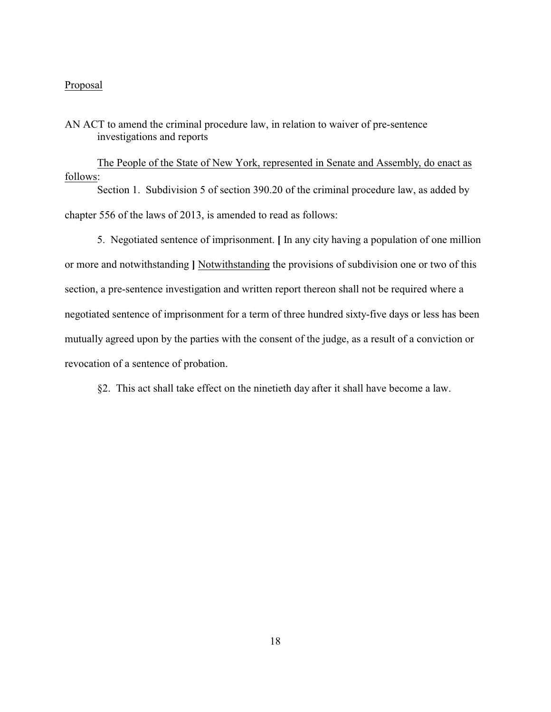## Proposal

AN ACT to amend the criminal procedure law, in relation to waiver of pre-sentence investigations and reports

The People of the State of New York, represented in Senate and Assembly, do enact as follows: Section 1. Subdivision 5 of section 390.20 of the criminal procedure law, as added by chapter 556 of the laws of 2013, is amended to read as follows:

5. Negotiated sentence of imprisonment. **[** In any city having a population of one million or more and notwithstanding **]** Notwithstanding the provisions of subdivision one or two of this section, a pre-sentence investigation and written report thereon shall not be required where a negotiated sentence of imprisonment for a term of three hundred sixty-five days or less has been mutually agreed upon by the parties with the consent of the judge, as a result of a conviction or revocation of a sentence of probation.

§2. This act shall take effect on the ninetieth day after it shall have become a law.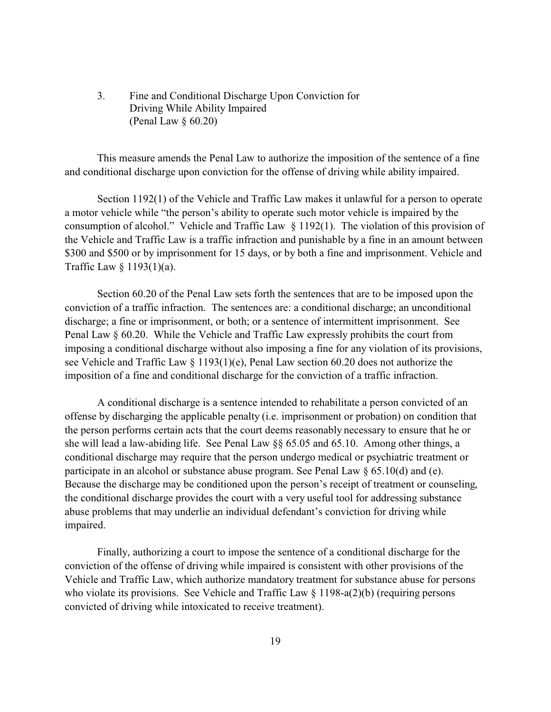3. Fine and Conditional Discharge Upon Conviction for Driving While Ability Impaired (Penal Law § 60.20)

This measure amends the Penal Law to authorize the imposition of the sentence of a fine and conditional discharge upon conviction for the offense of driving while ability impaired.

Section 1192(1) of the Vehicle and Traffic Law makes it unlawful for a person to operate a motor vehicle while "the person's ability to operate such motor vehicle is impaired by the consumption of alcohol." Vehicle and Traffic Law § 1192(1). The violation of this provision of the Vehicle and Traffic Law is a traffic infraction and punishable by a fine in an amount between \$300 and \$500 or by imprisonment for 15 days, or by both a fine and imprisonment. Vehicle and Traffic Law § 1193(1)(a).

Section 60.20 of the Penal Law sets forth the sentences that are to be imposed upon the conviction of a traffic infraction. The sentences are: a conditional discharge; an unconditional discharge; a fine or imprisonment, or both; or a sentence of intermittent imprisonment. See Penal Law § 60.20. While the Vehicle and Traffic Law expressly prohibits the court from imposing a conditional discharge without also imposing a fine for any violation of its provisions, see Vehicle and Traffic Law § 1193(1)(e), Penal Law section 60.20 does not authorize the imposition of a fine and conditional discharge for the conviction of a traffic infraction.

A conditional discharge is a sentence intended to rehabilitate a person convicted of an offense by discharging the applicable penalty (i.e. imprisonment or probation) on condition that the person performs certain acts that the court deems reasonably necessary to ensure that he or she will lead a law-abiding life. See Penal Law §§ 65.05 and 65.10. Among other things, a conditional discharge may require that the person undergo medical or psychiatric treatment or participate in an alcohol or substance abuse program. See Penal Law § 65.10(d) and (e). Because the discharge may be conditioned upon the person's receipt of treatment or counseling, the conditional discharge provides the court with a very useful tool for addressing substance abuse problems that may underlie an individual defendant's conviction for driving while impaired.

Finally, authorizing a court to impose the sentence of a conditional discharge for the conviction of the offense of driving while impaired is consistent with other provisions of the Vehicle and Traffic Law, which authorize mandatory treatment for substance abuse for persons who violate its provisions. See Vehicle and Traffic Law § 1198-a(2)(b) (requiring persons convicted of driving while intoxicated to receive treatment).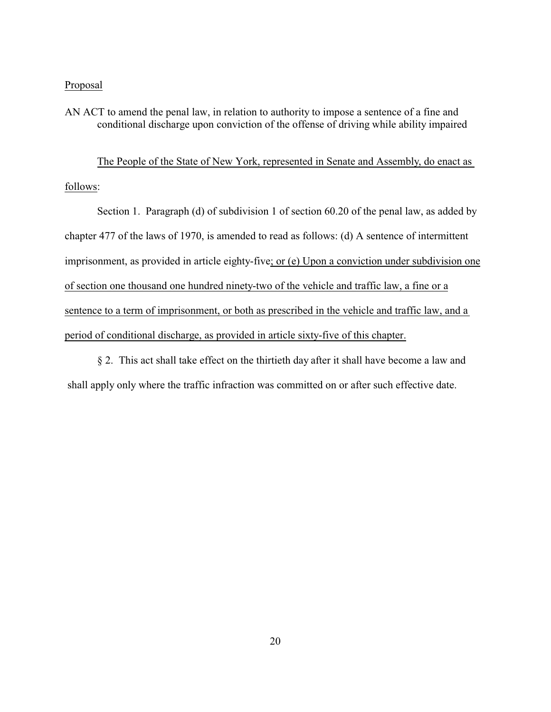#### Proposal

AN ACT to amend the penal law, in relation to authority to impose a sentence of a fine and conditional discharge upon conviction of the offense of driving while ability impaired

The People of the State of New York, represented in Senate and Assembly, do enact as follows:

Section 1. Paragraph (d) of subdivision 1 of section 60.20 of the penal law, as added by chapter 477 of the laws of 1970, is amended to read as follows: (d) A sentence of intermittent imprisonment, as provided in article eighty-five; or (e) Upon a conviction under subdivision one of section one thousand one hundred ninety-two of the vehicle and traffic law, a fine or a sentence to a term of imprisonment, or both as prescribed in the vehicle and traffic law, and a period of conditional discharge, as provided in article sixty-five of this chapter.

§ 2. This act shall take effect on the thirtieth day after it shall have become a law and shall apply only where the traffic infraction was committed on or after such effective date.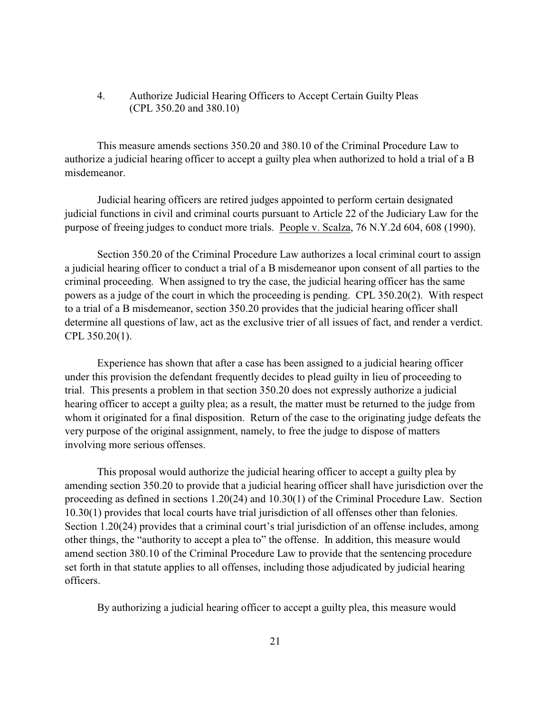## 4. Authorize Judicial Hearing Officers to Accept Certain Guilty Pleas (CPL 350.20 and 380.10)

This measure amends sections 350.20 and 380.10 of the Criminal Procedure Law to authorize a judicial hearing officer to accept a guilty plea when authorized to hold a trial of a B misdemeanor.

Judicial hearing officers are retired judges appointed to perform certain designated judicial functions in civil and criminal courts pursuant to Article 22 of the Judiciary Law for the purpose of freeing judges to conduct more trials. People v. Scalza, 76 N.Y.2d 604, 608 (1990).

Section 350.20 of the Criminal Procedure Law authorizes a local criminal court to assign a judicial hearing officer to conduct a trial of a B misdemeanor upon consent of all parties to the criminal proceeding. When assigned to try the case, the judicial hearing officer has the same powers as a judge of the court in which the proceeding is pending. CPL 350.20(2). With respect to a trial of a B misdemeanor, section 350.20 provides that the judicial hearing officer shall determine all questions of law, act as the exclusive trier of all issues of fact, and render a verdict. CPL 350.20(1).

Experience has shown that after a case has been assigned to a judicial hearing officer under this provision the defendant frequently decides to plead guilty in lieu of proceeding to trial. This presents a problem in that section 350.20 does not expressly authorize a judicial hearing officer to accept a guilty plea; as a result, the matter must be returned to the judge from whom it originated for a final disposition. Return of the case to the originating judge defeats the very purpose of the original assignment, namely, to free the judge to dispose of matters involving more serious offenses.

This proposal would authorize the judicial hearing officer to accept a guilty plea by amending section 350.20 to provide that a judicial hearing officer shall have jurisdiction over the proceeding as defined in sections 1.20(24) and 10.30(1) of the Criminal Procedure Law. Section 10.30(1) provides that local courts have trial jurisdiction of all offenses other than felonies. Section 1.20(24) provides that a criminal court's trial jurisdiction of an offense includes, among other things, the "authority to accept a plea to" the offense. In addition, this measure would amend section 380.10 of the Criminal Procedure Law to provide that the sentencing procedure set forth in that statute applies to all offenses, including those adjudicated by judicial hearing officers.

By authorizing a judicial hearing officer to accept a guilty plea, this measure would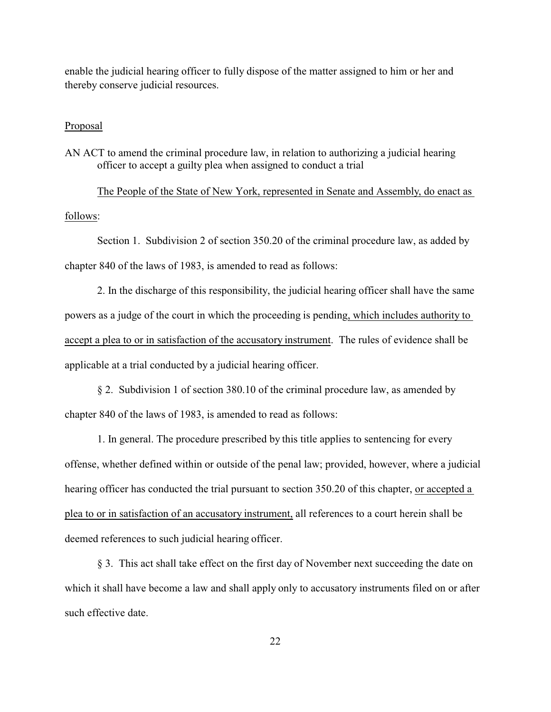enable the judicial hearing officer to fully dispose of the matter assigned to him or her and thereby conserve judicial resources.

#### Proposal

AN ACT to amend the criminal procedure law, in relation to authorizing a judicial hearing officer to accept a guilty plea when assigned to conduct a trial

The People of the State of New York, represented in Senate and Assembly, do enact as follows:

Section 1. Subdivision 2 of section 350.20 of the criminal procedure law, as added by chapter 840 of the laws of 1983, is amended to read as follows:

2. In the discharge of this responsibility, the judicial hearing officer shall have the same powers as a judge of the court in which the proceeding is pending, which includes authority to accept a plea to or in satisfaction of the accusatory instrument. The rules of evidence shall be applicable at a trial conducted by a judicial hearing officer.

§ 2. Subdivision 1 of section 380.10 of the criminal procedure law, as amended by chapter 840 of the laws of 1983, is amended to read as follows:

1. In general. The procedure prescribed by this title applies to sentencing for every offense, whether defined within or outside of the penal law; provided, however, where a judicial hearing officer has conducted the trial pursuant to section 350.20 of this chapter, or accepted a plea to or in satisfaction of an accusatory instrument, all references to a court herein shall be deemed references to such judicial hearing officer.

§ 3. This act shall take effect on the first day of November next succeeding the date on which it shall have become a law and shall apply only to accusatory instruments filed on or after such effective date.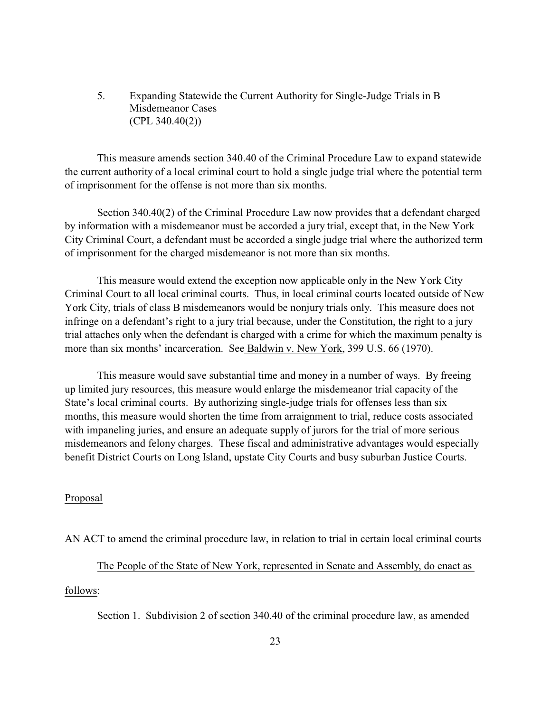5. Expanding Statewide the Current Authority for Single-Judge Trials in B Misdemeanor Cases (CPL 340.40(2))

This measure amends section 340.40 of the Criminal Procedure Law to expand statewide the current authority of a local criminal court to hold a single judge trial where the potential term of imprisonment for the offense is not more than six months.

Section 340.40(2) of the Criminal Procedure Law now provides that a defendant charged by information with a misdemeanor must be accorded a jury trial, except that, in the New York City Criminal Court, a defendant must be accorded a single judge trial where the authorized term of imprisonment for the charged misdemeanor is not more than six months.

This measure would extend the exception now applicable only in the New York City Criminal Court to all local criminal courts. Thus, in local criminal courts located outside of New York City, trials of class B misdemeanors would be nonjury trials only. This measure does not infringe on a defendant's right to a jury trial because, under the Constitution, the right to a jury trial attaches only when the defendant is charged with a crime for which the maximum penalty is more than six months' incarceration. See Baldwin v. New York, 399 U.S. 66 (1970).

This measure would save substantial time and money in a number of ways. By freeing up limited jury resources, this measure would enlarge the misdemeanor trial capacity of the State's local criminal courts. By authorizing single-judge trials for offenses less than six months, this measure would shorten the time from arraignment to trial, reduce costs associated with impaneling juries, and ensure an adequate supply of jurors for the trial of more serious misdemeanors and felony charges. These fiscal and administrative advantages would especially benefit District Courts on Long Island, upstate City Courts and busy suburban Justice Courts.

## Proposal

AN ACT to amend the criminal procedure law, in relation to trial in certain local criminal courts

The People of the State of New York, represented in Senate and Assembly, do enact as

follows:

Section 1. Subdivision 2 of section 340.40 of the criminal procedure law, as amended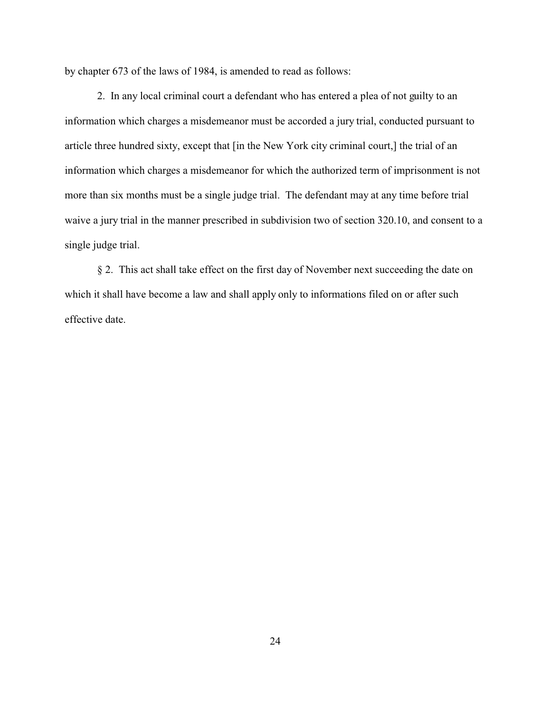by chapter 673 of the laws of 1984, is amended to read as follows:

2. In any local criminal court a defendant who has entered a plea of not guilty to an information which charges a misdemeanor must be accorded a jury trial, conducted pursuant to article three hundred sixty, except that [in the New York city criminal court,] the trial of an information which charges a misdemeanor for which the authorized term of imprisonment is not more than six months must be a single judge trial. The defendant may at any time before trial waive a jury trial in the manner prescribed in subdivision two of section 320.10, and consent to a single judge trial.

§ 2. This act shall take effect on the first day of November next succeeding the date on which it shall have become a law and shall apply only to informations filed on or after such effective date.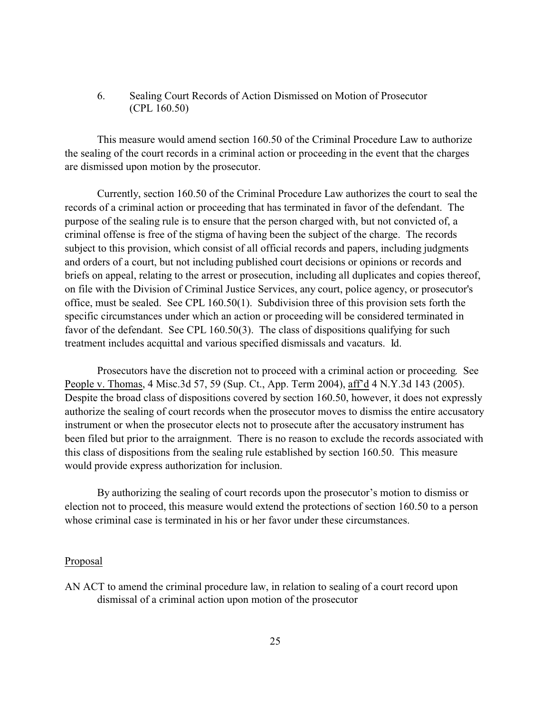## 6. Sealing Court Records of Action Dismissed on Motion of Prosecutor (CPL 160.50)

This measure would amend section 160.50 of the Criminal Procedure Law to authorize the sealing of the court records in a criminal action or proceeding in the event that the charges are dismissed upon motion by the prosecutor.

Currently, section 160.50 of the Criminal Procedure Law authorizes the court to seal the records of a criminal action or proceeding that has terminated in favor of the defendant. The purpose of the sealing rule is to ensure that the person charged with, but not convicted of, a criminal offense is free of the stigma of having been the subject of the charge. The records subject to this provision, which consist of all official records and papers, including judgments and orders of a court, but not including published court decisions or opinions or records and briefs on appeal, relating to the arrest or prosecution, including all duplicates and copies thereof, on file with the Division of Criminal Justice Services, any court, police agency, or prosecutor's office, must be sealed. See CPL 160.50(1). Subdivision three of this provision sets forth the specific circumstances under which an action or proceeding will be considered terminated in favor of the defendant. See CPL 160.50(3). The class of dispositions qualifying for such treatment includes acquittal and various specified dismissals and vacaturs. Id.

Prosecutors have the discretion not to proceed with a criminal action or proceeding. See People v. Thomas, 4 Misc.3d 57, 59 (Sup. Ct., App. Term 2004), aff'd 4 N.Y.3d 143 (2005). Despite the broad class of dispositions covered by section 160.50, however, it does not expressly authorize the sealing of court records when the prosecutor moves to dismiss the entire accusatory instrument or when the prosecutor elects not to prosecute after the accusatory instrument has been filed but prior to the arraignment. There is no reason to exclude the records associated with this class of dispositions from the sealing rule established by section 160.50. This measure would provide express authorization for inclusion.

By authorizing the sealing of court records upon the prosecutor's motion to dismiss or election not to proceed, this measure would extend the protections of section 160.50 to a person whose criminal case is terminated in his or her favor under these circumstances.

#### Proposal

AN ACT to amend the criminal procedure law, in relation to sealing of a court record upon dismissal of a criminal action upon motion of the prosecutor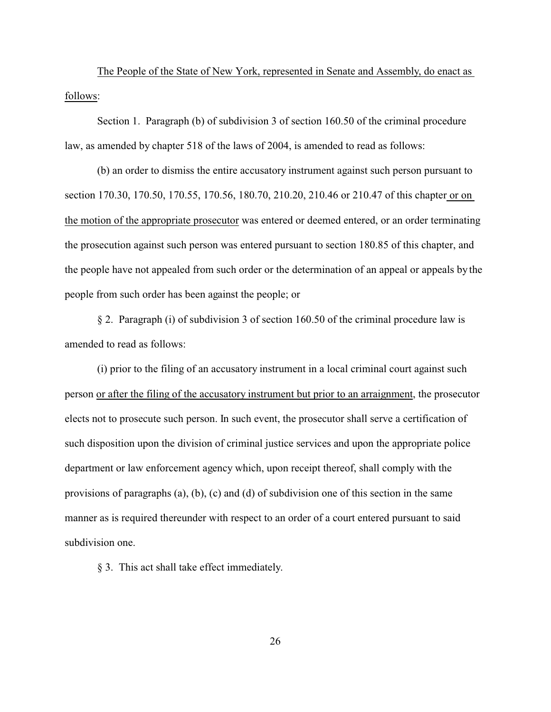The People of the State of New York, represented in Senate and Assembly, do enact as follows:

Section 1. Paragraph (b) of subdivision 3 of section 160.50 of the criminal procedure law, as amended by chapter 518 of the laws of 2004, is amended to read as follows:

(b) an order to dismiss the entire accusatory instrument against such person pursuant to section 170.30, 170.50, 170.55, 170.56, 180.70, 210.20, 210.46 or 210.47 of this chapter or on the motion of the appropriate prosecutor was entered or deemed entered, or an order terminating the prosecution against such person was entered pursuant to section 180.85 of this chapter, and the people have not appealed from such order or the determination of an appeal or appeals by the people from such order has been against the people; or

§ 2. Paragraph (i) of subdivision 3 of section 160.50 of the criminal procedure law is amended to read as follows:

(i) prior to the filing of an accusatory instrument in a local criminal court against such person or after the filing of the accusatory instrument but prior to an arraignment, the prosecutor elects not to prosecute such person. In such event, the prosecutor shall serve a certification of such disposition upon the division of criminal justice services and upon the appropriate police department or law enforcement agency which, upon receipt thereof, shall comply with the provisions of paragraphs (a), (b), (c) and (d) of subdivision one of this section in the same manner as is required thereunder with respect to an order of a court entered pursuant to said subdivision one.

§ 3. This act shall take effect immediately.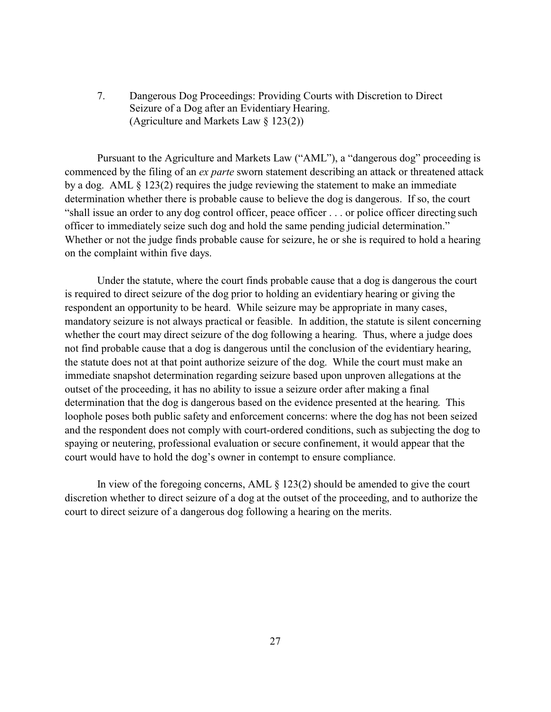7. Dangerous Dog Proceedings: Providing Courts with Discretion to Direct Seizure of a Dog after an Evidentiary Hearing. (Agriculture and Markets Law § 123(2))

Pursuant to the Agriculture and Markets Law ("AML"), a "dangerous dog" proceeding is commenced by the filing of an *ex parte* sworn statement describing an attack or threatened attack by a dog. AML § 123(2) requires the judge reviewing the statement to make an immediate determination whether there is probable cause to believe the dog is dangerous. If so, the court "shall issue an order to any dog control officer, peace officer . . . or police officer directing such officer to immediately seize such dog and hold the same pending judicial determination." Whether or not the judge finds probable cause for seizure, he or she is required to hold a hearing on the complaint within five days.

Under the statute, where the court finds probable cause that a dog is dangerous the court is required to direct seizure of the dog prior to holding an evidentiary hearing or giving the respondent an opportunity to be heard. While seizure may be appropriate in many cases, mandatory seizure is not always practical or feasible. In addition, the statute is silent concerning whether the court may direct seizure of the dog following a hearing. Thus, where a judge does not find probable cause that a dog is dangerous until the conclusion of the evidentiary hearing, the statute does not at that point authorize seizure of the dog. While the court must make an immediate snapshot determination regarding seizure based upon unproven allegations at the outset of the proceeding, it has no ability to issue a seizure order after making a final determination that the dog is dangerous based on the evidence presented at the hearing. This loophole poses both public safety and enforcement concerns: where the dog has not been seized and the respondent does not comply with court-ordered conditions, such as subjecting the dog to spaying or neutering, professional evaluation or secure confinement, it would appear that the court would have to hold the dog's owner in contempt to ensure compliance.

In view of the foregoing concerns, AML § 123(2) should be amended to give the court discretion whether to direct seizure of a dog at the outset of the proceeding, and to authorize the court to direct seizure of a dangerous dog following a hearing on the merits.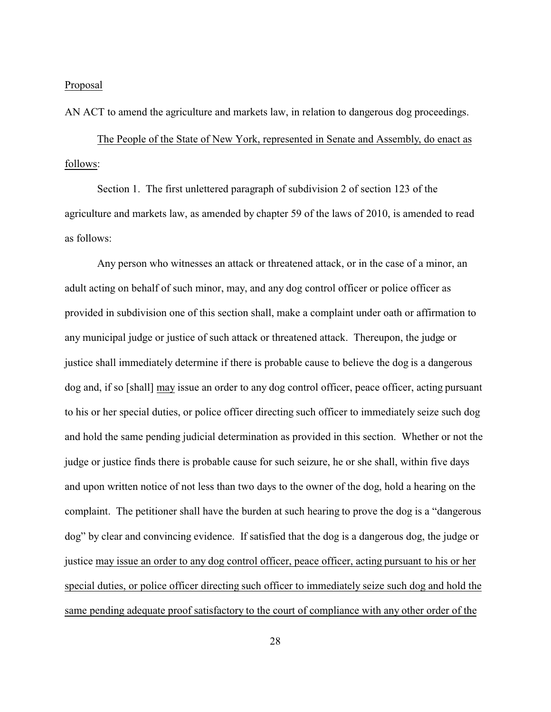#### Proposal

AN ACT to amend the agriculture and markets law, in relation to dangerous dog proceedings.

The People of the State of New York, represented in Senate and Assembly, do enact as follows:

Section 1. The first unlettered paragraph of subdivision 2 of section 123 of the agriculture and markets law, as amended by chapter 59 of the laws of 2010, is amended to read as follows:

Any person who witnesses an attack or threatened attack, or in the case of a minor, an adult acting on behalf of such minor, may, and any dog control officer or police officer as provided in subdivision one of this section shall, make a complaint under oath or affirmation to any municipal judge or justice of such attack or threatened attack. Thereupon, the judge or justice shall immediately determine if there is probable cause to believe the dog is a dangerous dog and, if so [shall] may issue an order to any dog control officer, peace officer, acting pursuant to his or her special duties, or police officer directing such officer to immediately seize such dog and hold the same pending judicial determination as provided in this section. Whether or not the judge or justice finds there is probable cause for such seizure, he or she shall, within five days and upon written notice of not less than two days to the owner of the dog, hold a hearing on the complaint. The petitioner shall have the burden at such hearing to prove the dog is a "dangerous dog" by clear and convincing evidence. If satisfied that the dog is a dangerous dog, the judge or justice may issue an order to any dog control officer, peace officer, acting pursuant to his or her special duties, or police officer directing such officer to immediately seize such dog and hold the same pending adequate proof satisfactory to the court of compliance with any other order of the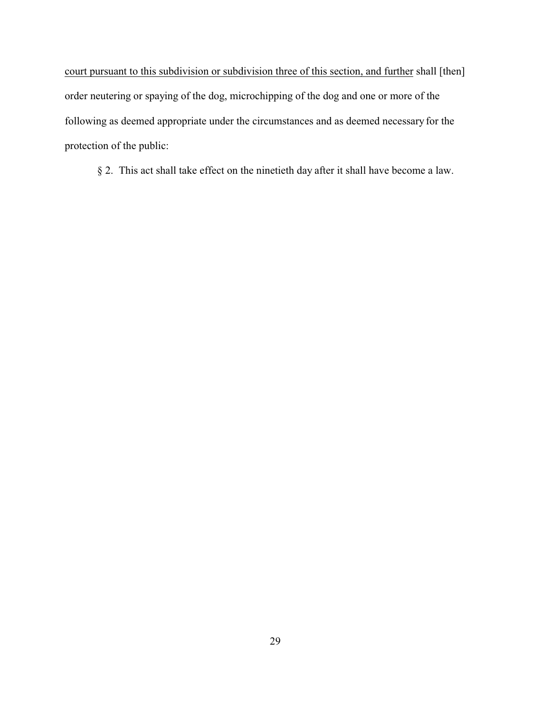court pursuant to this subdivision or subdivision three of this section, and further shall [then] order neutering or spaying of the dog, microchipping of the dog and one or more of the following as deemed appropriate under the circumstances and as deemed necessary for the protection of the public:

§ 2. This act shall take effect on the ninetieth day after it shall have become a law.